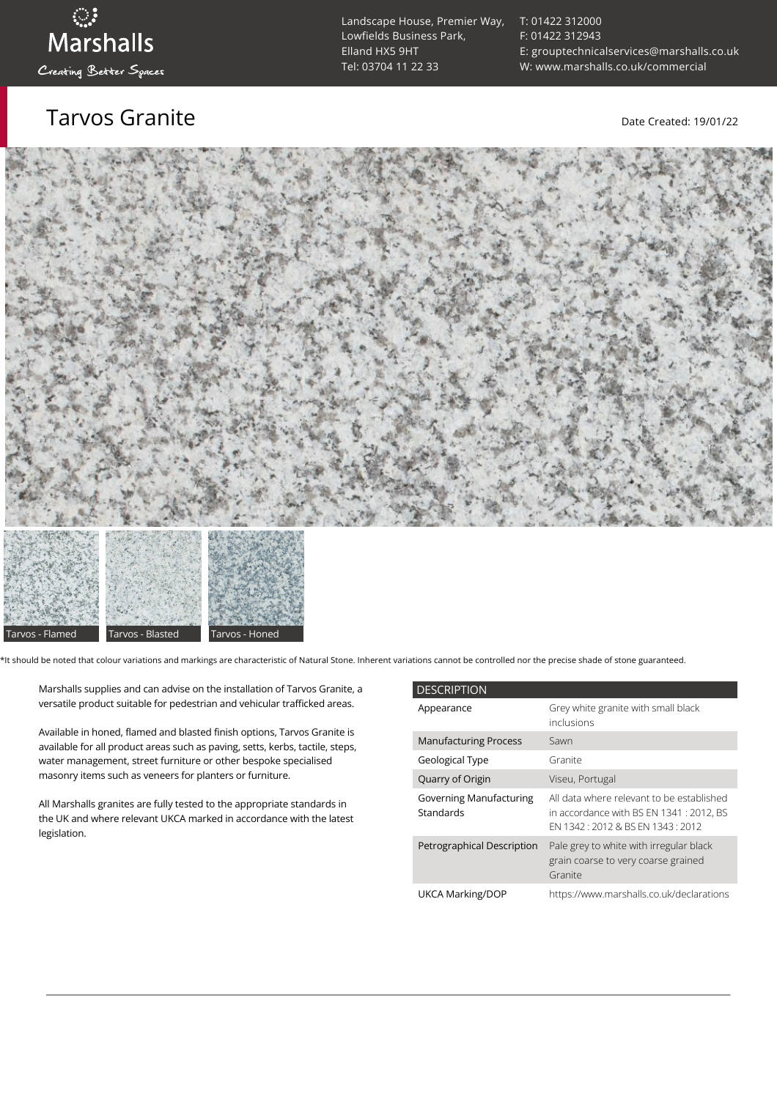Tarvos Granite Date Created: 19/01/22

[T: 01422 312000](tel:01422%20312000) [F: 01422 312943](tel:01422%20312943) [E: grouptechnicalservices@marshalls.co.uk](mailto:grouptechnicalservices@marshalls.co.uk) [W: www.marshalls.co.uk/commercial](https://www.marshalls.co.uk/commercial)





\*It should be noted that colour variations and markings are characteristic of Natural Stone. Inherent variations cannot be controlled nor the precise shade of stone guaranteed.

Marshalls supplies and can advise on the installation of Tarvos Granite, a versatile product suitable for pedestrian and vehicular trafficked areas.

Available in honed, flamed and blasted finish options, Tarvos Granite is available for all product areas such as paving, setts, kerbs, tactile, steps, water management, street furniture or other bespoke specialised masonry items such as veneers for planters or furniture.

All Marshalls granites are fully tested to the appropriate standards in the UK and where relevant UKCA marked in accordance with the latest legislation.

| <b>DESCRIPTION</b>                          |                                                                                                                           |  |
|---------------------------------------------|---------------------------------------------------------------------------------------------------------------------------|--|
| Appearance                                  | Grey white granite with small black<br>inclusions                                                                         |  |
| <b>Manufacturing Process</b>                | Sawn                                                                                                                      |  |
| Geological Type                             | Granite                                                                                                                   |  |
| Quarry of Origin                            | Viseu, Portugal                                                                                                           |  |
| <b>Governing Manufacturing</b><br>Standards | All data where relevant to be established<br>in accordance with BS EN 1341 : 2012, BS<br>FN 1342 12012 & BS FN 1343 12012 |  |
| Petrographical Description                  | Pale grey to white with irregular black<br>grain coarse to very coarse grained<br>Granite                                 |  |
| UKCA Marking/DOP                            | https://www.marshalls.co.uk/declarations                                                                                  |  |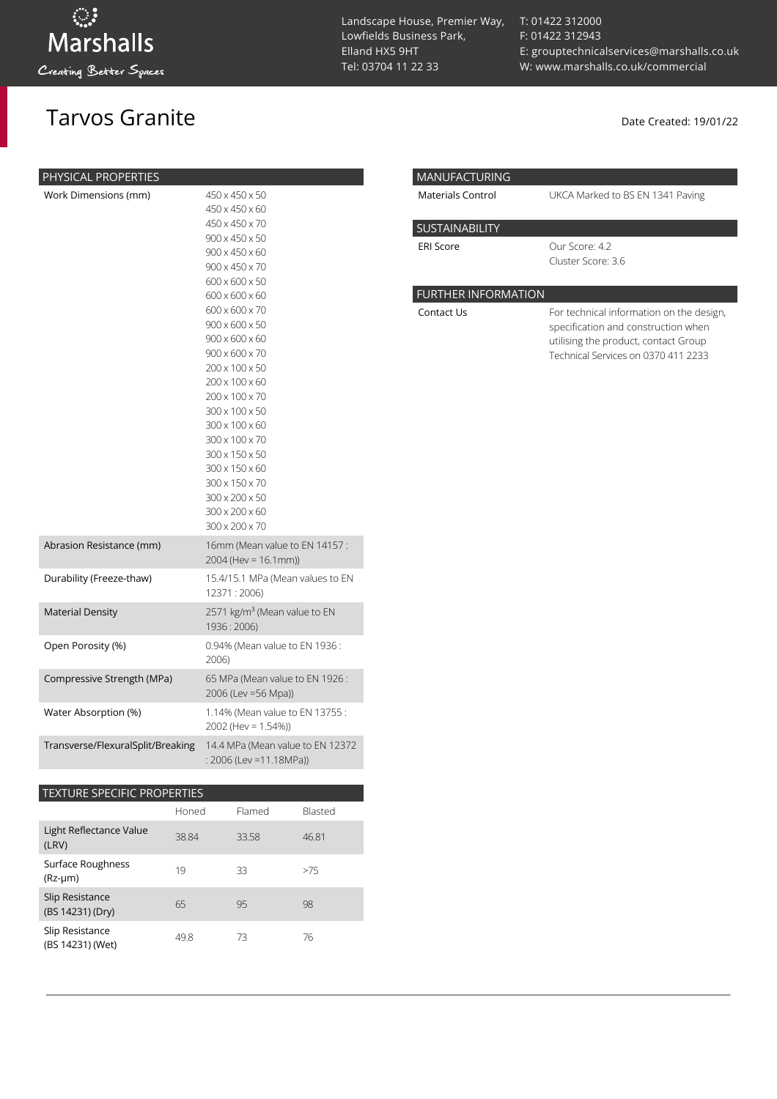PHYS

## Tarvos Granite **Date Created: 19/01/22**

| Landscape House, Premier Way, |
|-------------------------------|
| Lowfields Business Park.      |
| Elland HX5 9HT                |
| Tel: 03704 11 22 33           |

[T: 01422 312000](tel:01422%20312000) [F: 01422 312943](tel:01422%20312943) [E: grouptechnicalservices@marshalls.co.uk](mailto:grouptechnicalservices@marshalls.co.uk) [W: www.marshalls.co.uk/commercial](https://www.marshalls.co.uk/commercial)

UKCA Marked to BS EN 1341 Paving

| PHYSICAL PROPERTIES        |                                                        | <b>MANUFACTURING</b>       |  |
|----------------------------|--------------------------------------------------------|----------------------------|--|
| Work Dimensions (mm)       | 450 x 450 x 50                                         | <b>Materials Control</b>   |  |
|                            | 450 x 450 x 60                                         |                            |  |
|                            | 450 x 450 x 70                                         | SUSTAINABILITY             |  |
|                            | 900 x 450 x 50                                         | <b>ERI Score</b>           |  |
|                            | $900 \times 450 \times 60$                             |                            |  |
|                            | $900 \times 450 \times 70$                             |                            |  |
|                            | 600 x 600 x 50                                         |                            |  |
|                            | $600 \times 600 \times 60$                             | <b>FURTHER INFORMATION</b> |  |
|                            | 600 x 600 x 70                                         | Contact Us                 |  |
|                            | $900 \times 600 \times 50$                             |                            |  |
|                            | $900 \times 600 \times 60$                             |                            |  |
|                            | $900 \times 600 \times 70$                             |                            |  |
|                            | 200 x 100 x 50                                         |                            |  |
|                            | $200 \times 100 \times 60$                             |                            |  |
|                            | 200 x 100 x 70                                         |                            |  |
|                            | 300 x 100 x 50                                         |                            |  |
|                            | 300 x 100 x 60                                         |                            |  |
|                            | 300 x 100 x 70                                         |                            |  |
|                            | 300 x 150 x 50                                         |                            |  |
|                            | 300 x 150 x 60                                         |                            |  |
|                            | 300 x 150 x 70                                         |                            |  |
|                            | 300 x 200 x 50                                         |                            |  |
|                            | 300 x 200 x 60                                         |                            |  |
|                            | 300 x 200 x 70                                         |                            |  |
| Abrasion Resistance (mm)   | 16mm (Mean value to EN 14157:                          |                            |  |
|                            | $2004$ (Hev = 16.1mm))                                 |                            |  |
| Durability (Freeze-thaw)   | 15.4/15.1 MPa (Mean values to EN                       |                            |  |
|                            | 12371:2006)                                            |                            |  |
| <b>Material Density</b>    | 2571 kg/m <sup>3</sup> (Mean value to EN               |                            |  |
|                            | 1936:2006)                                             |                            |  |
| Open Porosity (%)          | 0.94% (Mean value to EN 1936:                          |                            |  |
|                            | 2006)                                                  |                            |  |
| Compressive Strength (MPa) | 65 MPa (Mean value to EN 1926:<br>2006 (Lev = 56 Mpa)) |                            |  |
| Water Absorption (%)       | 1.14% (Mean value to EN 13755:                         |                            |  |
|                            |                                                        |                            |  |

Cluster Score: 3.6 For technical information on the design,

Our Score: 4.2

| specification and construction when  |
|--------------------------------------|
| utilising the product, contact Group |
| Technical Services on 0370 411 2233  |
|                                      |

### TEXTURE SPECIFIC PROPERTIES

|                                     | Honed | Flamed | Blasted |
|-------------------------------------|-------|--------|---------|
| Light Reflectance Value<br>(LRV)    | 38.84 | 33.58  | 46.81   |
| Surface Roughness<br>$(Rz-µm)$      | 19    | 33     | >75     |
| Slip Resistance<br>(BS 14231) (Dry) | 65    | 95     | 98      |
| Slip Resistance<br>(BS 14231) (Wet) | 49.8  | 73     | 76      |

Transverse/FlexuralSplit/Breaking 14.4 MPa (Mean value to EN 12372

2002 (Hev = 1.54%))

: 2006 (Lev =11.18MPa))